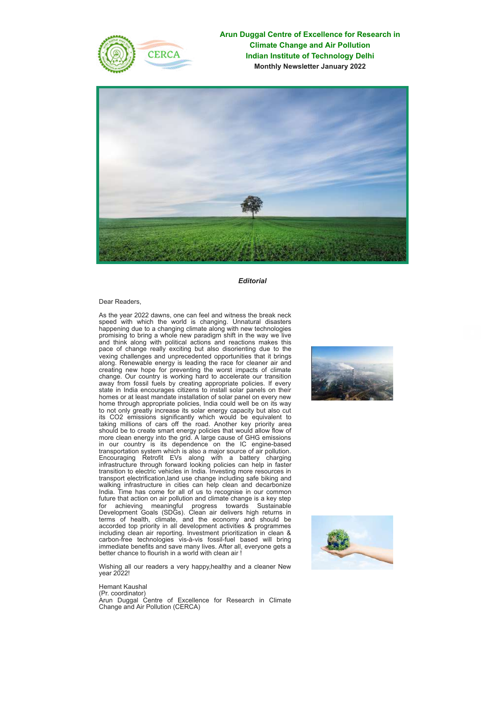

**Arun Duggal Centre of Excellence for Research in Climate Change and Air Pollution Indian Institute of Technology Delhi Monthly Newsletter January 2022**



#### *Editorial*

Dear Readers,

As the year 2022 dawns, one can feel and witness the break neck speed with which the world is changing. Unnatural disasters happening due to a changing climate along with new technologies promising to bring a whole new paradigm shift in the way we live and think along with political actions and reactions makes this pace of change really exciting but also disorienting due to the vexing challenges and unprecedented opportunities that it brings along. Renewable energy is leading the race for cleaner air and creating new hope for preventing the worst impacts of climate change. Our country is working hard to accelerate our transition away from fossil fuels by creating appropriate policies. If every state in India encourages citizens to install solar panels on their homes or at least mandate installation of solar panel on every new home through appropriate policies, India could well be on its way to not only greatly increase its solar energy capacity but also cut its CO2 emissions significantly which would be equivalent to taking millions of cars off the road. Another key priority area should be to create smart energy policies that would allow flow of more clean energy into the grid. A large cause of GHG emissions in our country is its dependence on the IC engine-based transportation system which is also a major source of air pollution. Encouraging Retrofit EVs along with a battery charging infrastructure through forward looking policies can help in faster transition to electric vehicles in India. Investing more resources in transport electrification,land use change including safe biking and walking infrastructure in cities can help clean and decarbonize India. Time has come for all of us to recognise in our common future that action on air pollution and climate change is a key step for achieving meaningful progress towards Sustainable Development Goals (SDGs). Clean air delivers high returns in terms of health, climate, and the economy and should be accorded top priority in all development activities & programmes including clean air reporting. Investment prioritization in clean & carbon-free technologies vis-à-vis fossil-fuel based will bring immediate benefits and save many lives. After all, everyone gets a better chance to flourish in a world with clean air !

Wishing all our readers a very happy,healthy and a cleaner New year 2022!





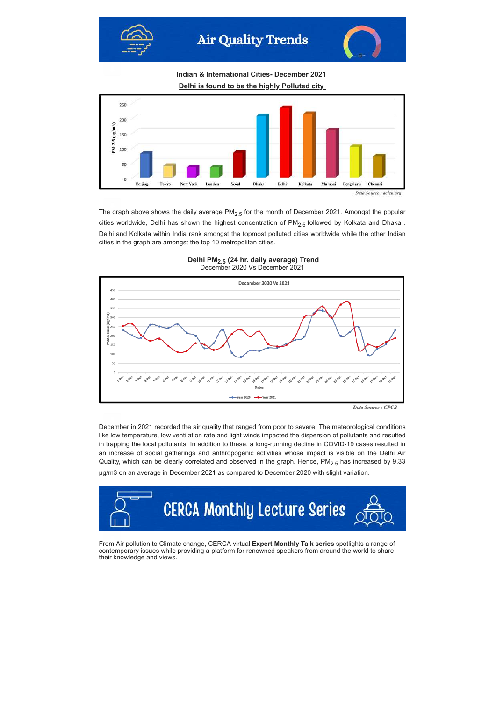



**Indian & International Cities- December 2021**

**Delhi is found to be the highly Polluted city**



The graph above shows the daily average  $PM<sub>2.5</sub>$  for the month of December 2021. Amongst the popular cities worldwide, Delhi has shown the highest concentration of  $PM<sub>2.5</sub>$  followed by Kolkata and Dhaka. Delhi and Kolkata within India rank amongst the topmost polluted cities worldwide while the other Indian cities in the graph are amongst the top 10 metropolitan cities.

**Delhi PM2.5 (24 hr. daily average) Trend** December 2020 Vs December 2021



December in 2021 recorded the air quality that ranged from poor to severe. The meteorological conditions like low temperature, low ventilation rate and light winds impacted the dispersion of pollutants and resulted in trapping the local pollutants. In addition to these, a long-running decline in COVID-19 cases resulted in an increase of social gatherings and anthropogenic activities whose impact is visible on the Delhi Air Quality, which can be clearly correlated and observed in the graph. Hence,  $PM<sub>2.5</sub>$  has increased by 9.33

µg/m3 on an average in December 2021 as compared to December 2020 with slight variation.



From Air pollution to Climate change, CERCA virtual **Expert Monthly Talk series** spotlights a range of contemporary issues while providing a platform for renowned speakers from around the world to share their knowledge and views.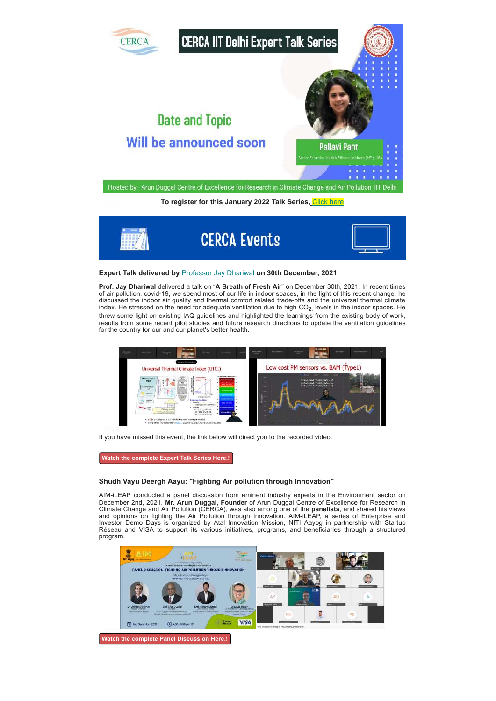

To register for this January 2022 Talk Series, [Click here](https://docs.google.com/forms/d/17Zgpz7RBr7xLSL5uAJ0KDF-8RT_nH0G8Fq6by3hYd30/edit)



#### **Expert Talk delivered by** [Professor Jay Dhariwal](https://web.iitd.ac.in/~jay/) **on 30th December, 2021**

**Prof. Jay Dhariwal** delivered a talk on "**A Breath of Fresh Air**" on December 30th, 2021. In recent times of air pollution, covid-19, we spend most of our life in indoor spaces, in the light of this recent change, he discussed the indoor air quality and thermal comfort related trade-offs and the universal thermal climate index. He stressed on the need for adequate ventilation due to high  $CO<sub>2</sub>$  levels in the indoor spaces. He threw some light on existing IAQ guidelines and highlighted the learnings from the existing body of work, results from some recent pilot studies and future research directions to update the ventilation guidelines for the country for our and our planet's better health.



If you have missed this event, the link below will direct you to the recorded video.

**[Watch the complete Expert Talk Series Here.!](https://www.youtube.com/watch?v=oKRyEhDh-Mg)**

#### **Shudh Vayu Deergh Aayu: "Fighting Air pollution through Innovation"**

AIM-iLEAP conducted a panel discussion from eminent industry experts in the Environment sector on December 2nd, 2021. **Mr. Arun Duggal, Founder** of Arun Duggal Centre of Excellence for Research in Climate Change and Air Pollution (CERCA), was also among one of the **panelists**, and shared his views and opinions on fighting the Air Pollution through Innovation. AIM-iLEAP, a series of Enterprise and Investor Demo Days is organized by Atal Innovation Mission, NITI Aayog in partnership with Startup Réseau and VISA to support its various initiatives, programs, and beneficiaries through a structured program.



**[Watch the complete Panel Discussion Here.!](https://www.youtube.com/watch?v=a5L529KVkTc&t=255s)**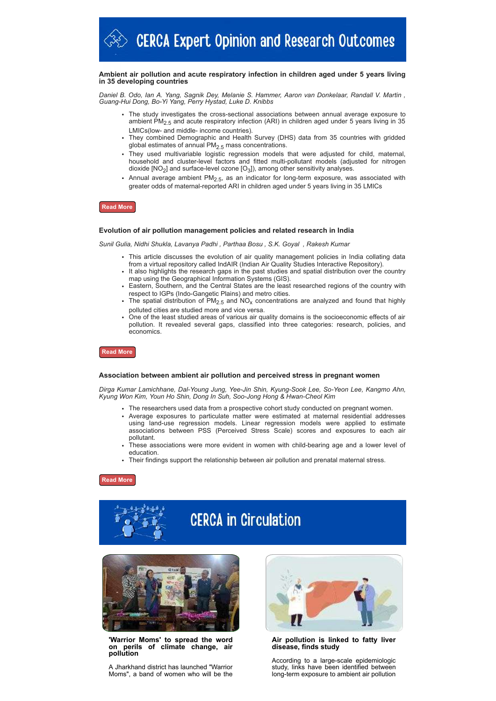#### **Ambient air pollution and acute respiratory infection in children aged under 5 years living in 35 developing countries**

*Daniel B. Odo, Ian A. Yang, Sagnik Dey, Melanie S. Hammer, Aaron van Donkelaar, Randall V. Martin , Guang-Hui Dong, Bo-Yi Yang, Perry Hystad, Luke D. Knibbs*

- The study investigates the cross-sectional associations between annual average exposure to ambient PM<sub>2.5</sub> and acute respiratory infection (ARI) in children aged under 5 years living in 35 LMICs(low- and middle- income countries).
- They combined Demographic and Health Survey (DHS) data from 35 countries with gridded global estimates of annual  $PM<sub>2.5</sub>$  mass concentrations.
- They used multivariable logistic regression models that were adjusted for child, maternal, household and cluster-level factors and fitted multi-pollutant models (adjusted for nitrogen dioxide [NO<sub>2</sub>] and surface-level ozone [O<sub>3</sub>]), among other sensitivity analyses.
- Annual average ambient  $PM<sub>2.5</sub>$ , as an indicator for long-term exposure, was associated with greater odds of maternal-reported ARI in children aged under 5 years living in 35 LMICs

#### **[Read More](https://www.sciencedirect.com/science/article/pii/S0160412021006449)**

#### **Evolution of air pollution management policies and related research in India**

*Sunil Gulia, Nidhi Shukla, Lavanya Padhi , Parthaa Bosu , S.K. Goyal , Rakesh Kumar*

- This article discusses the evolution of air quality management policies in India collating data from a virtual repository called IndAIR (Indian Air Quality Studies Interactive Repository).
- $\cdot$  It also highlights the research gaps in the past studies and spatial distribution over the country map using the Geographical Information Systems (GIS).
- Eastern, Southern, and the Central States are the least researched regions of the country with respect to IGPs (Indo-Gangetic Plains) and metro cities.
- The spatial distribution of  $PM_{2.5}$  and  $NO_{x}$  concentrations are analyzed and found that highly polluted cities are studied more and vice versa.
- One of the least studied areas of various air quality domains is the socioeconomic effects of air pollution. It revealed several gaps, classified into three categories: research, policies, and economics.

### **[Read More](https://www.sciencedirect.com/science/article/pii/S2667010021004054)**

#### **Association between ambient air pollution and perceived stress in pregnant women**

*Dirga Kumar Lamichhane, Dal-Young Jung, Yee-Jin Shin, Kyung-Sook Lee, So-Yeon Lee, Kangmo Ahn, Kyung Won Kim, Youn Ho Shin, Dong In Suh, Soo-Jong Hong & Hwan-Cheol Kim*

- The researchers used data from a prospective cohort study conducted on pregnant women.
- Average exposures to particulate matter were estimated at maternal residential addresses using land-use regression models. Linear regression models were applied to estimate associations between PSS (Perceived Stress Scale) scores and exposures to each air pollutant.
- These associations were more evident in women with child-bearing age and a lower level of education.
- Their findings support the relationship between air pollution and prenatal maternal stress.

#### **[Read More](https://www.nature.com/articles/s41598-021-02845-4)**



# **CERCA in Circulation**



**'Warrior Moms' to spread the word** of climate change, air **pollution**

A Jharkhand district has launched "Warrior Moms", a band of women who will be the



**Air pollution is linked to fatty liver disease, finds study**

According to a large-scale epidemiologic study, links have been identified between long-term exposure to ambient air pollution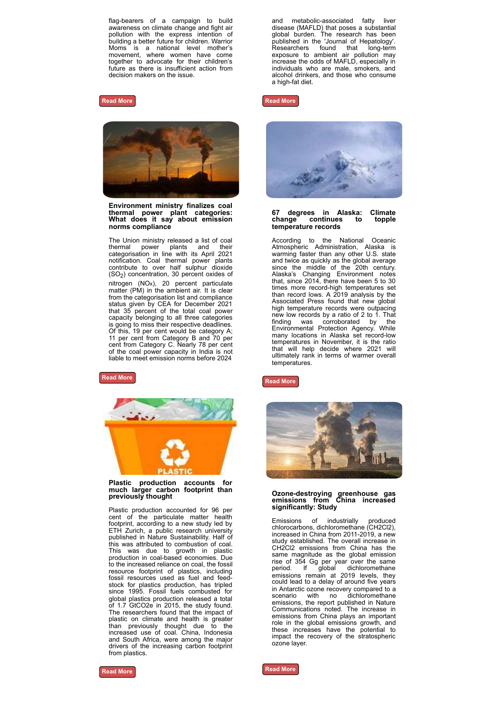flag-bearers of a campaign to build awareness on climate change and fight air pollution with the express intention of building a better future for children. Warrior Moms is a national level mother's movement, where women have come together to advocate for their children's future as there is insufficient action from decision makers on the issue.

#### **[Read More](https://www.telegraphindia.com/jharkhand/warrior-moms-to-spread-the-word-on-perils-of-climate-change-air-pollution/cid/1841599)**



**Environment ministry finalizes coal thermal power plant categories: What does it say about emission norms compliance**

The Union ministry released a list of coal thermal power plants and their categorisation in line with its April 2021 notification. Coal thermal power plants contribute to over half sulphur dioxide (SO $_2$ ) concentration, 30 percent oxides of nitrogen (NOx), 20 percent particulate matter (PM) in the ambient air. It is clear from the categorisation list and compliance status given by CEA for December 2021 that 35 percent of the total coal power capacity belonging to all three categories is going to miss their respective deadlines. Of this, 19 per cent would be category A; 11 per cent from Category B and 70 per cent from Category C. Nearly 78 per cent of the coal power capacity in India is not liable to meet emission norms before 2024

### **[Read More](https://www.downtoearth.org.in/news/pollution/environment-ministry-finalises-coal-thermal-power-plant-categories-what-does-it-say-about-emission-norms-compliance-80795)**



**Plastic production accounts for much larger carbon footprint than previously thought**

Plastic production accounted for 96 per cent of the particulate matter health footprint, according to a new study led by ETH Zurich, a public research university published in Nature Sustainability. Half of this was attributed to combustion of coal. This was due to growth in plastic production in coal-based economies. Due to the increased reliance on coal, the fossil resource footprint of plastics, including fossil resources used as fuel and feedstock for plastics production, has tripled since 1995. Fossil fuels combusted for global plastics production released a total of 1.7 GtCO2e in 2015, the study found. The researchers found that the impact of plastic on climate and health is greater .<br>than previously thought due to the increased use of coal. China, Indonesia and South Africa, were among the major drivers of the increasing carbon footprint from plastics.

and metabolic-associated fatty liver disease (MAFLD) that poses a substantial global burden. The research has been published in the 'Journal of Hepatology'. Researchers found that long-term exposure to ambient air pollution may increase the odds of MAFLD, especially in individuals who are male, smokers, and alcohol drinkers, and those who consume a high-fat diet.





#### **67 degrees in Alaska: Climate**  $continues$ **temperature records**

According to the National Oceanic Atmospheric Administration, Alaska is warming faster than any other U.S. state and twice as quickly as the global average since the middle of the 20th century. Alaska's Changing Environment notes that, since 2014, there have been 5 to 30 times more record-high temperatures set than record lows. A 2019 analysis by the Associated Press found that new global high temperature records were outpacing new low records by a ratio of 2 to 1. That finding was corroborated by the Environmental Protection Agency. While many locations in Alaska set record-low temperatures in November, it is the ratio that will help decide where 2021 will ultimately rank in terms of warmer overall **temperatures** 

**[Read More](https://news.yahoo.com/67-degrees-in-alaska-climate-change-continues-to-topple-temperature-records-193405514.html#:~:text=Climate%20change%20continues%20to%20topple%20temperature%20records.&text=On%20Sunday%2C%20the%20temperature%20in,change%20continues%20to%20rewrite%20history.)**



## **Ozone-destroying greenhouse gas emissions from China increased significantly: Study**

Emissions of industrially produced chlorocarbons, dichloromethane (CH2Cl2), increased in China from 2011-2019, a new study established. The overall increase in CH2Cl2 emissions from China has the same magnitude as the global emission rise of 354 Gg per year over the same period. If global dichloromethane emissions remain at 2019 levels, they could lead to a delay of around five years in Antarctic ozone recovery compared to a scenario with no dichloromethane emissions, the report published in Nature Communications noted. The increase in emissions from China plays an important role in the global emissions growth, and these increases have the potential to impact the recovery of the stratospheric ozone layer.